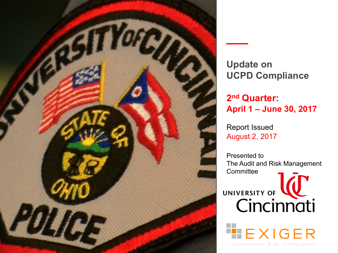

**Update on UCPD Compliance**

**2nd Quarter: April 1 – June 30, 2017**

Report Issued August 2, 2017

Presented to The Audit and Risk Management **Committee** 

UNIVERSITY OF **WE** 

EXIGER

Governance, Risk, Compliance,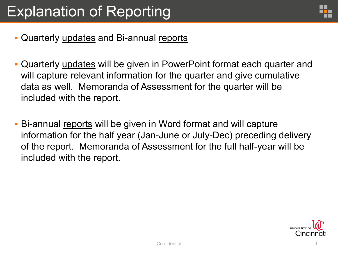

- Quarterly updates and Bi-annual reports
- § Quarterly updates will be given in PowerPoint format each quarter and will capture relevant information for the quarter and give cumulative data as well. Memoranda of Assessment for the quarter will be included with the report.
- § Bi-annual reports will be given in Word format and will capture information for the half year (Jan-June or July-Dec) preceding delivery of the report. Memoranda of Assessment for the full half-year will be included with the report.

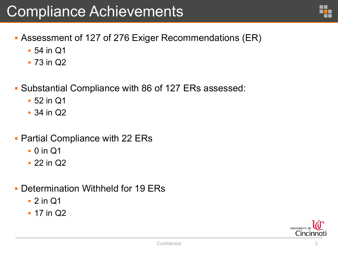- § Assessment of 127 of 276 Exiger Recommendations (ER)
	- § 54 in Q1
	- § 73 in Q2
- § Substantial Compliance with 86 of 127 ERs assessed:
	- § 52 in Q1
	- § 34 in Q2
- § Partial Compliance with 22 ERs
	- § 0 in Q1
	- § 22 in Q2
- § Determination Withheld for 19 ERs
	- § 2 in Q1
	- **17 in Q2**

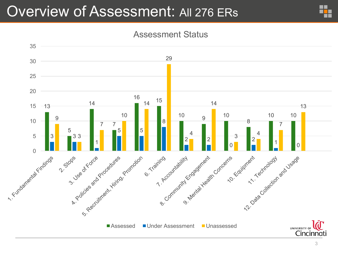## Overview of Assessment: All 276 ERs



### Assessment Status

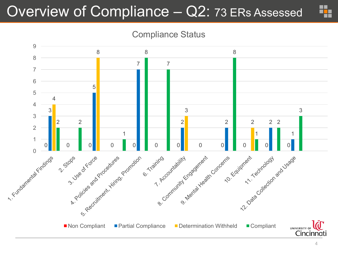## Overview of Compliance – Q2: 73 ERs Assessed

Compliance Status

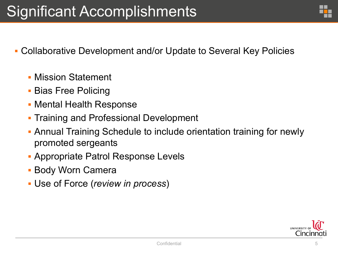- § Collaborative Development and/or Update to Several Key Policies
	- § Mission Statement
	- § Bias Free Policing
	- § Mental Health Response
	- § Training and Professional Development
	- § Annual Training Schedule to include orientation training for newly promoted sergeants
	- § Appropriate Patrol Response Levels
	- § Body Worn Camera
	- § Use of Force (*review in process*)

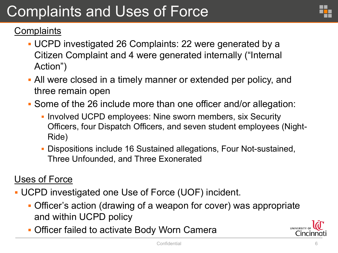# Complaints and Uses of Force

## **Complaints**

- § UCPD investigated 26 Complaints: 22 were generated by a Citizen Complaint and 4 were generated internally ("Internal Action")
- § All were closed in a timely manner or extended per policy, and three remain open
- § Some of the 26 include more than one officer and/or allegation:
	- § Involved UCPD employees: Nine sworn members, six Security Officers, four Dispatch Officers, and seven student employees (Night-Ride)
	- § Dispositions include 16 Sustained allegations, Four Not-sustained, Three Unfounded, and Three Exonerated

### Uses of Force

- § UCPD investigated one Use of Force (UOF) incident.
	- **Officer's action (drawing of a weapon for cover) was appropriate** and within UCPD policy
	- **Officer failed to activate Body Worn Camera**

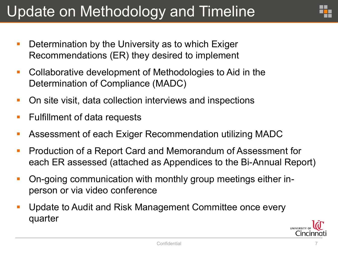# Update on Methodology and Timeline

- **Determination by the University as to which Exiger** Recommendations (ER) they desired to implement
- Collaborative development of Methodologies to Aid in the Determination of Compliance (MADC)
- On site visit, data collection interviews and inspections
- Fulfillment of data requests
- Assessment of each Exiger Recommendation utilizing MADC
- Production of a Report Card and Memorandum of Assessment for each ER assessed (attached as Appendices to the Bi-Annual Report)
- On-going communication with monthly group meetings either inperson or via video conference
- Update to Audit and Risk Management Committee once every quarter